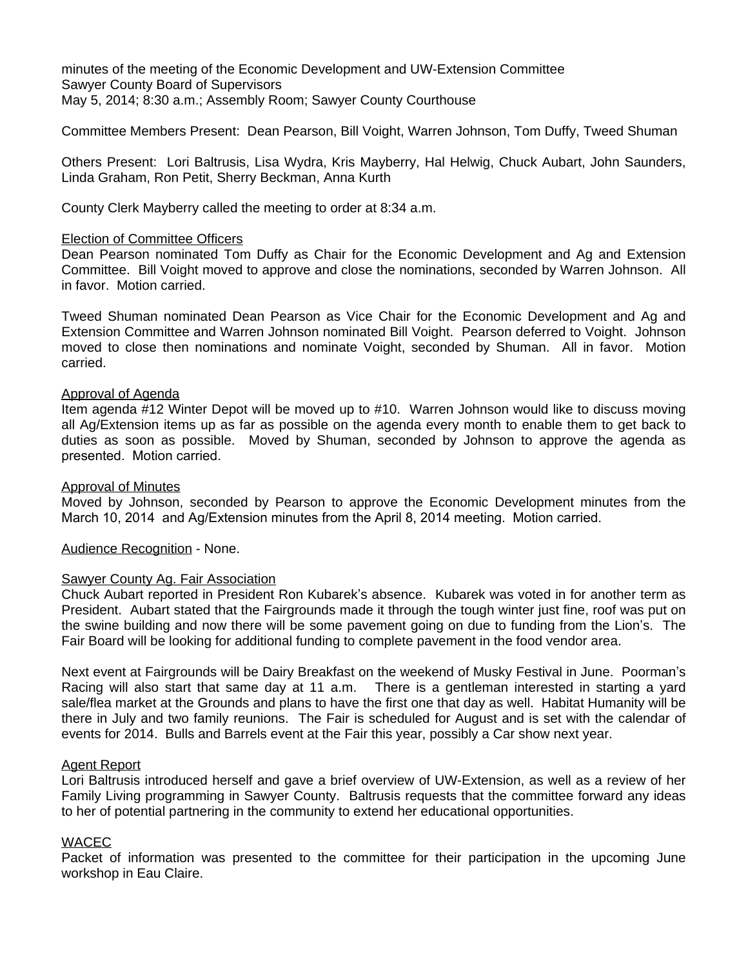minutes of the meeting of the Economic Development and UW-Extension Committee Sawyer County Board of Supervisors May 5, 2014; 8:30 a.m.; Assembly Room; Sawyer County Courthouse

Committee Members Present: Dean Pearson, Bill Voight, Warren Johnson, Tom Duffy, Tweed Shuman

Others Present: Lori Baltrusis, Lisa Wydra, Kris Mayberry, Hal Helwig, Chuck Aubart, John Saunders, Linda Graham, Ron Petit, Sherry Beckman, Anna Kurth

County Clerk Mayberry called the meeting to order at 8:34 a.m.

## Election of Committee Officers

Dean Pearson nominated Tom Duffy as Chair for the Economic Development and Ag and Extension Committee. Bill Voight moved to approve and close the nominations, seconded by Warren Johnson. All in favor. Motion carried.

Tweed Shuman nominated Dean Pearson as Vice Chair for the Economic Development and Ag and Extension Committee and Warren Johnson nominated Bill Voight. Pearson deferred to Voight. Johnson moved to close then nominations and nominate Voight, seconded by Shuman. All in favor. Motion carried.

## Approval of Agenda

Item agenda #12 Winter Depot will be moved up to #10. Warren Johnson would like to discuss moving all Ag/Extension items up as far as possible on the agenda every month to enable them to get back to duties as soon as possible. Moved by Shuman, seconded by Johnson to approve the agenda as presented. Motion carried.

## Approval of Minutes

Moved by Johnson, seconded by Pearson to approve the Economic Development minutes from the March 10, 2014 and Ag/Extension minutes from the April 8, 2014 meeting. Motion carried.

Audience Recognition - None.

# Sawyer County Ag. Fair Association

Chuck Aubart reported in President Ron Kubarek's absence. Kubarek was voted in for another term as President. Aubart stated that the Fairgrounds made it through the tough winter just fine, roof was put on the swine building and now there will be some pavement going on due to funding from the Lion's. The Fair Board will be looking for additional funding to complete pavement in the food vendor area.

Next event at Fairgrounds will be Dairy Breakfast on the weekend of Musky Festival in June. Poorman's Racing will also start that same day at 11 a.m. There is a gentleman interested in starting a yard sale/flea market at the Grounds and plans to have the first one that day as well. Habitat Humanity will be there in July and two family reunions. The Fair is scheduled for August and is set with the calendar of events for 2014. Bulls and Barrels event at the Fair this year, possibly a Car show next year.

### Agent Report

Lori Baltrusis introduced herself and gave a brief overview of UW-Extension, as well as a review of her Family Living programming in Sawyer County. Baltrusis requests that the committee forward any ideas to her of potential partnering in the community to extend her educational opportunities.

### WACEC

Packet of information was presented to the committee for their participation in the upcoming June workshop in Eau Claire.